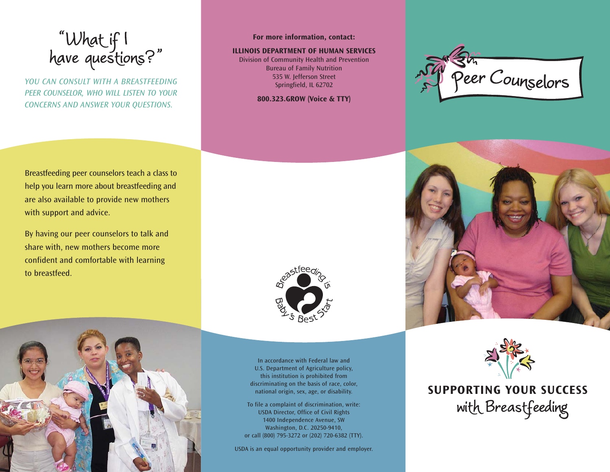"What if I<br>have questions?"

*YOU CAN CONSULT WITH A BREASTFEEDINGPEER COUNSELOR, WHO WILL LISTEN TO YOUR CONCERNS AND ANSWER YOUR QUESTIONS.*

**For more information, contact:**

## **ILLINOIS DEPARTMENT OF HUMAN SERVICES**

Division of Community Health and Prevention Bureau of Family Nutrition 535 W. Jefferson Street Springfield, IL 62702

**800.323.GROW (Voice & TTY)**







**SUPPORTING YOUR SUCCESS**with Breastfeeding

Breastfeeding peer counselors teach a class to help you learn more about breastfeeding and are also available to provide new mothers with support and advice.

By having our peer counselors to talk and share with, new mothers become more confident and comfortable with learning to breastfeed.





In accordance with Federal law and U.S. Department of Agriculture policy, this institution is prohibited from discriminating on the basis of race, color, national origin, sex, age, or disability.

To file a complaint of discrimination, write: USDA Director, Office of Civil Rights 1400 Independence Avenue, SW Washington, D.C. 20250-9410, or call (800) 795-3272 or (202) 720-6382 (TTY).

USDA is an equal opportunity provider and employer.